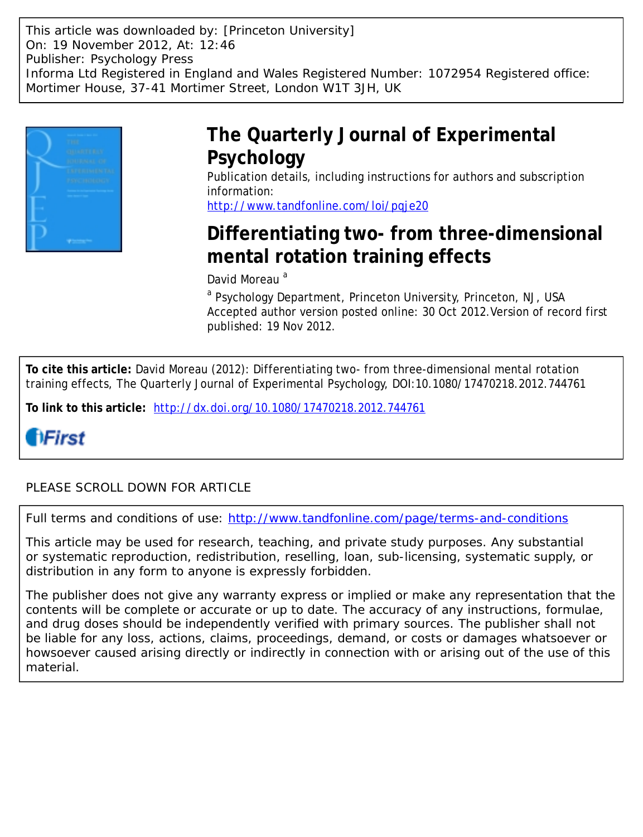This article was downloaded by: [Princeton University] On: 19 November 2012, At: 12:46 Publisher: Psychology Press Informa Ltd Registered in England and Wales Registered Number: 1072954 Registered office: Mortimer House, 37-41 Mortimer Street, London W1T 3JH, UK



# **The Quarterly Journal of Experimental Psychology**

Publication details, including instructions for authors and subscription information:

<http://www.tandfonline.com/loi/pqje20>

# **Differentiating two- from three-dimensional mental rotation training effects**

David Moreau<sup>a</sup>

<sup>a</sup> Psychology Department, Princeton University, Princeton, NJ, USA Accepted author version posted online: 30 Oct 2012.Version of record first published: 19 Nov 2012.

**To cite this article:** David Moreau (2012): Differentiating two- from three-dimensional mental rotation training effects, The Quarterly Journal of Experimental Psychology, DOI:10.1080/17470218.2012.744761

**To link to this article:** <http://dx.doi.org/10.1080/17470218.2012.744761>

# **HFirst**

# PLEASE SCROLL DOWN FOR ARTICLE

Full terms and conditions of use:<http://www.tandfonline.com/page/terms-and-conditions>

This article may be used for research, teaching, and private study purposes. Any substantial or systematic reproduction, redistribution, reselling, loan, sub-licensing, systematic supply, or distribution in any form to anyone is expressly forbidden.

The publisher does not give any warranty express or implied or make any representation that the contents will be complete or accurate or up to date. The accuracy of any instructions, formulae, and drug doses should be independently verified with primary sources. The publisher shall not be liable for any loss, actions, claims, proceedings, demand, or costs or damages whatsoever or howsoever caused arising directly or indirectly in connection with or arising out of the use of this material.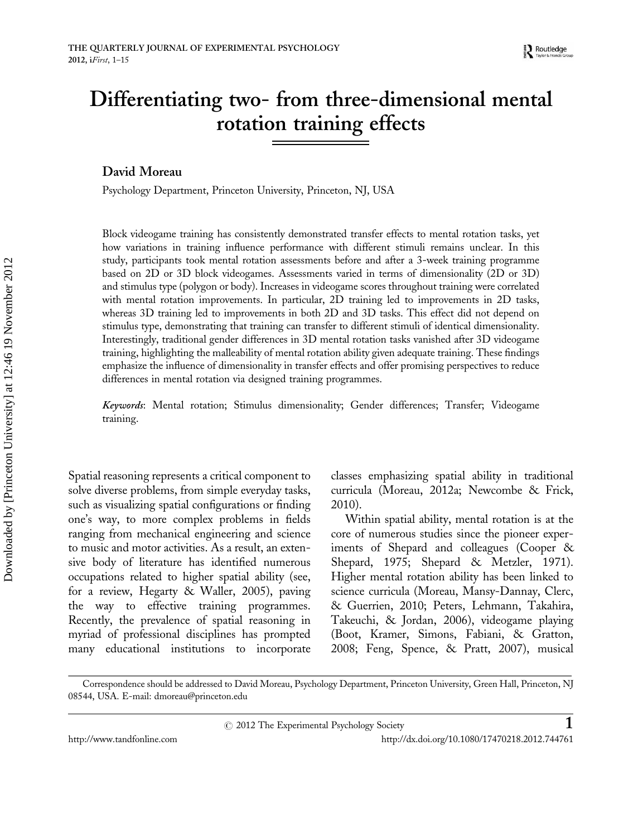# Differentiating two- from three-dimensional mental rotation training effects

David Moreau

Psychology Department, Princeton University, Princeton, NJ, USA

Block videogame training has consistently demonstrated transfer effects to mental rotation tasks, yet how variations in training influence performance with different stimuli remains unclear. In this study, participants took mental rotation assessments before and after a 3-week training programme based on 2D or 3D block videogames. Assessments varied in terms of dimensionality (2D or 3D) and stimulus type (polygon or body). Increases in videogame scores throughout training were correlated with mental rotation improvements. In particular, 2D training led to improvements in 2D tasks, whereas 3D training led to improvements in both 2D and 3D tasks. This effect did not depend on stimulus type, demonstrating that training can transfer to different stimuli of identical dimensionality. Interestingly, traditional gender differences in 3D mental rotation tasks vanished after 3D videogame training, highlighting the malleability of mental rotation ability given adequate training. These findings emphasize the influence of dimensionality in transfer effects and offer promising perspectives to reduce differences in mental rotation via designed training programmes.

Keywords: Mental rotation; Stimulus dimensionality; Gender differences; Transfer; Videogame training.

Spatial reasoning represents a critical component to solve diverse problems, from simple everyday tasks, such as visualizing spatial configurations or finding one's way, to more complex problems in fields ranging from mechanical engineering and science to music and motor activities. As a result, an extensive body of literature has identified numerous occupations related to higher spatial ability (see, for a review, Hegarty & Waller, 2005), paving the way to effective training programmes. Recently, the prevalence of spatial reasoning in myriad of professional disciplines has prompted many educational institutions to incorporate

classes emphasizing spatial ability in traditional curricula (Moreau, 2012a; Newcombe & Frick, 2010).

Within spatial ability, mental rotation is at the core of numerous studies since the pioneer experiments of Shepard and colleagues (Cooper & Shepard, 1975; Shepard & Metzler, 1971). Higher mental rotation ability has been linked to science curricula (Moreau, Mansy-Dannay, Clerc, & Guerrien, 2010; Peters, Lehmann, Takahira, Takeuchi, & Jordan, 2006), videogame playing (Boot, Kramer, Simons, Fabiani, & Gratton, 2008; Feng, Spence, & Pratt, 2007), musical

Correspondence should be addressed to David Moreau, Psychology Department, Princeton University, Green Hall, Princeton, NJ 08544, USA. E-mail: dmoreau@princeton.edu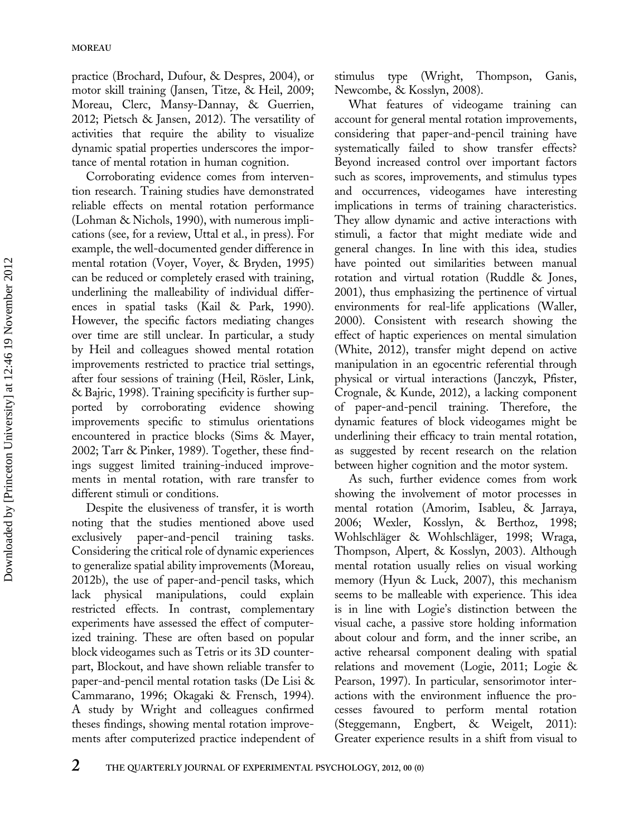practice (Brochard, Dufour, & Despres, 2004), or motor skill training (Jansen, Titze, & Heil, 2009; Moreau, Clerc, Mansy-Dannay, & Guerrien, 2012; Pietsch & Jansen, 2012). The versatility of activities that require the ability to visualize dynamic spatial properties underscores the importance of mental rotation in human cognition.

Corroborating evidence comes from intervention research. Training studies have demonstrated reliable effects on mental rotation performance (Lohman & Nichols, 1990), with numerous implications (see, for a review, Uttal et al., in press). For example, the well-documented gender difference in mental rotation (Voyer, Voyer, & Bryden, 1995) can be reduced or completely erased with training, underlining the malleability of individual differences in spatial tasks (Kail & Park, 1990). However, the specific factors mediating changes over time are still unclear. In particular, a study by Heil and colleagues showed mental rotation improvements restricted to practice trial settings, after four sessions of training (Heil, Rösler, Link, & Bajric, 1998). Training specificity is further supported by corroborating evidence showing improvements specific to stimulus orientations encountered in practice blocks (Sims & Mayer, 2002; Tarr & Pinker, 1989). Together, these findings suggest limited training-induced improvements in mental rotation, with rare transfer to different stimuli or conditions.

Despite the elusiveness of transfer, it is worth noting that the studies mentioned above used exclusively paper-and-pencil training tasks. Considering the critical role of dynamic experiences to generalize spatial ability improvements (Moreau, 2012b), the use of paper-and-pencil tasks, which lack physical manipulations, could explain restricted effects. In contrast, complementary experiments have assessed the effect of computerized training. These are often based on popular block videogames such as Tetris or its 3D counterpart, Blockout, and have shown reliable transfer to paper-and-pencil mental rotation tasks (De Lisi & Cammarano, 1996; Okagaki & Frensch, 1994). A study by Wright and colleagues confirmed theses findings, showing mental rotation improvements after computerized practice independent of stimulus type (Wright, Thompson, Ganis, Newcombe, & Kosslyn, 2008).

What features of videogame training can account for general mental rotation improvements, considering that paper-and-pencil training have systematically failed to show transfer effects? Beyond increased control over important factors such as scores, improvements, and stimulus types and occurrences, videogames have interesting implications in terms of training characteristics. They allow dynamic and active interactions with stimuli, a factor that might mediate wide and general changes. In line with this idea, studies have pointed out similarities between manual rotation and virtual rotation (Ruddle & Jones, 2001), thus emphasizing the pertinence of virtual environments for real-life applications (Waller, 2000). Consistent with research showing the effect of haptic experiences on mental simulation (White, 2012), transfer might depend on active manipulation in an egocentric referential through physical or virtual interactions (Janczyk, Pfister, Crognale, & Kunde, 2012), a lacking component of paper-and-pencil training. Therefore, the dynamic features of block videogames might be underlining their efficacy to train mental rotation, as suggested by recent research on the relation between higher cognition and the motor system.

As such, further evidence comes from work showing the involvement of motor processes in mental rotation (Amorim, Isableu, & Jarraya, 2006; Wexler, Kosslyn, & Berthoz, 1998; Wohlschläger & Wohlschläger, 1998; Wraga, Thompson, Alpert, & Kosslyn, 2003). Although mental rotation usually relies on visual working memory (Hyun & Luck, 2007), this mechanism seems to be malleable with experience. This idea is in line with Logie's distinction between the visual cache, a passive store holding information about colour and form, and the inner scribe, an active rehearsal component dealing with spatial relations and movement (Logie, 2011; Logie & Pearson, 1997). In particular, sensorimotor interactions with the environment influence the processes favoured to perform mental rotation (Steggemann, Engbert, & Weigelt, 2011): Greater experience results in a shift from visual to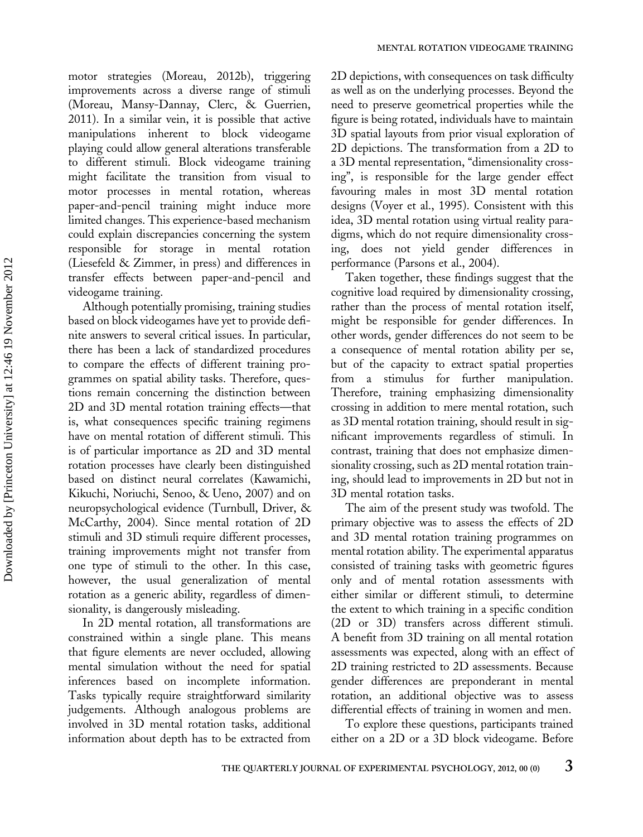motor strategies (Moreau, 2012b), triggering improvements across a diverse range of stimuli (Moreau, Mansy-Dannay, Clerc, & Guerrien, 2011). In a similar vein, it is possible that active manipulations inherent to block videogame playing could allow general alterations transferable to different stimuli. Block videogame training might facilitate the transition from visual to motor processes in mental rotation, whereas paper-and-pencil training might induce more limited changes. This experience-based mechanism could explain discrepancies concerning the system responsible for storage in mental rotation (Liesefeld & Zimmer, in press) and differences in transfer effects between paper-and-pencil and videogame training.

Although potentially promising, training studies based on block videogames have yet to provide definite answers to several critical issues. In particular, there has been a lack of standardized procedures to compare the effects of different training programmes on spatial ability tasks. Therefore, questions remain concerning the distinction between 2D and 3D mental rotation training effects—that is, what consequences specific training regimens have on mental rotation of different stimuli. This is of particular importance as 2D and 3D mental rotation processes have clearly been distinguished based on distinct neural correlates (Kawamichi, Kikuchi, Noriuchi, Senoo, & Ueno, 2007) and on neuropsychological evidence (Turnbull, Driver, & McCarthy, 2004). Since mental rotation of 2D stimuli and 3D stimuli require different processes, training improvements might not transfer from one type of stimuli to the other. In this case, however, the usual generalization of mental rotation as a generic ability, regardless of dimensionality, is dangerously misleading.

In 2D mental rotation, all transformations are constrained within a single plane. This means that figure elements are never occluded, allowing mental simulation without the need for spatial inferences based on incomplete information. Tasks typically require straightforward similarity judgements. Although analogous problems are involved in 3D mental rotation tasks, additional information about depth has to be extracted from

2D depictions, with consequences on task difficulty as well as on the underlying processes. Beyond the need to preserve geometrical properties while the figure is being rotated, individuals have to maintain 3D spatial layouts from prior visual exploration of 2D depictions. The transformation from a 2D to a 3D mental representation, "dimensionality crossing", is responsible for the large gender effect favouring males in most 3D mental rotation designs (Voyer et al., 1995). Consistent with this idea, 3D mental rotation using virtual reality paradigms, which do not require dimensionality crossing, does not yield gender differences in performance (Parsons et al., 2004).

Taken together, these findings suggest that the cognitive load required by dimensionality crossing, rather than the process of mental rotation itself, might be responsible for gender differences. In other words, gender differences do not seem to be a consequence of mental rotation ability per se, but of the capacity to extract spatial properties from a stimulus for further manipulation. Therefore, training emphasizing dimensionality crossing in addition to mere mental rotation, such as 3D mental rotation training, should result in significant improvements regardless of stimuli. In contrast, training that does not emphasize dimensionality crossing, such as 2D mental rotation training, should lead to improvements in 2D but not in 3D mental rotation tasks.

The aim of the present study was twofold. The primary objective was to assess the effects of 2D and 3D mental rotation training programmes on mental rotation ability. The experimental apparatus consisted of training tasks with geometric figures only and of mental rotation assessments with either similar or different stimuli, to determine the extent to which training in a specific condition (2D or 3D) transfers across different stimuli. A benefit from 3D training on all mental rotation assessments was expected, along with an effect of 2D training restricted to 2D assessments. Because gender differences are preponderant in mental rotation, an additional objective was to assess differential effects of training in women and men.

To explore these questions, participants trained either on a 2D or a 3D block videogame. Before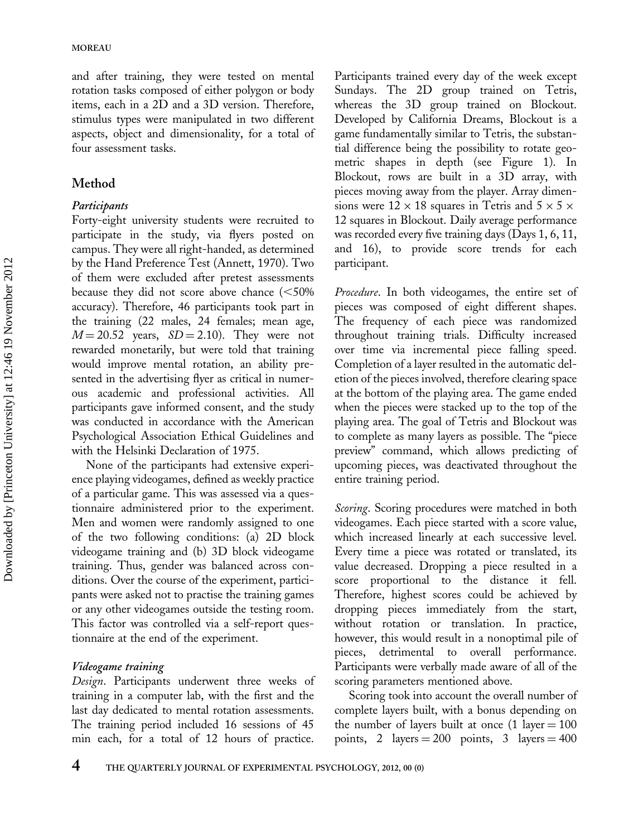and after training, they were tested on mental rotation tasks composed of either polygon or body items, each in a 2D and a 3D version. Therefore, stimulus types were manipulated in two different aspects, object and dimensionality, for a total of four assessment tasks.

# Method

## **Participants**

Forty-eight university students were recruited to participate in the study, via flyers posted on campus. They were all right-handed, as determined by the Hand Preference Test (Annett, 1970). Two of them were excluded after pretest assessments because they did not score above chance  $\leq 50\%$ accuracy). Therefore, 46 participants took part in the training (22 males, 24 females; mean age,  $M = 20.52$  years,  $SD = 2.10$ ). They were not rewarded monetarily, but were told that training would improve mental rotation, an ability presented in the advertising flyer as critical in numerous academic and professional activities. All participants gave informed consent, and the study was conducted in accordance with the American Psychological Association Ethical Guidelines and with the Helsinki Declaration of 1975.

None of the participants had extensive experience playing videogames, defined as weekly practice of a particular game. This was assessed via a questionnaire administered prior to the experiment. Men and women were randomly assigned to one of the two following conditions: (a) 2D block videogame training and (b) 3D block videogame training. Thus, gender was balanced across conditions. Over the course of the experiment, participants were asked not to practise the training games or any other videogames outside the testing room. This factor was controlled via a self-report questionnaire at the end of the experiment.

## Videogame training

Design. Participants underwent three weeks of training in a computer lab, with the first and the last day dedicated to mental rotation assessments. The training period included 16 sessions of 45 min each, for a total of 12 hours of practice.

Participants trained every day of the week except Sundays. The 2D group trained on Tetris, whereas the 3D group trained on Blockout. Developed by California Dreams, Blockout is a game fundamentally similar to Tetris, the substantial difference being the possibility to rotate geometric shapes in depth (see Figure 1). In Blockout, rows are built in a 3D array, with pieces moving away from the player. Array dimensions were  $12 \times 18$  squares in Tetris and  $5 \times 5 \times$ 12 squares in Blockout. Daily average performance was recorded every five training days (Days 1, 6, 11, and 16), to provide score trends for each participant.

Procedure. In both videogames, the entire set of pieces was composed of eight different shapes. The frequency of each piece was randomized throughout training trials. Difficulty increased over time via incremental piece falling speed. Completion of a layer resulted in the automatic deletion of the pieces involved, therefore clearing space at the bottom of the playing area. The game ended when the pieces were stacked up to the top of the playing area. The goal of Tetris and Blockout was to complete as many layers as possible. The "piece preview" command, which allows predicting of upcoming pieces, was deactivated throughout the entire training period.

Scoring. Scoring procedures were matched in both videogames. Each piece started with a score value, which increased linearly at each successive level. Every time a piece was rotated or translated, its value decreased. Dropping a piece resulted in a score proportional to the distance it fell. Therefore, highest scores could be achieved by dropping pieces immediately from the start, without rotation or translation. In practice, however, this would result in a nonoptimal pile of pieces, detrimental to overall performance. Participants were verbally made aware of all of the scoring parameters mentioned above.

Scoring took into account the overall number of complete layers built, with a bonus depending on the number of layers built at once  $(1 \text{ layer} = 100$ points, 2 layers  $= 200$  points, 3 layers  $= 400$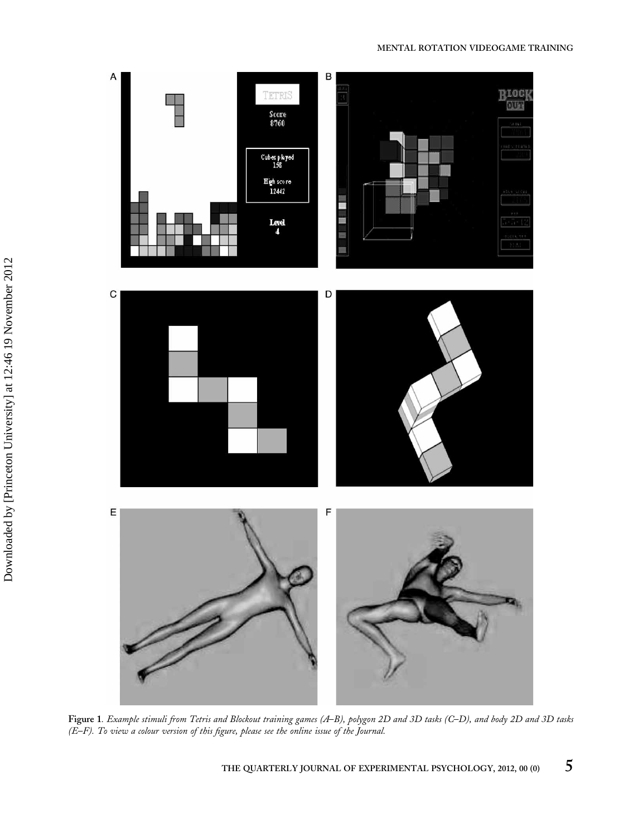#### MENTAL ROTATION VIDEOGAME TRAINING



Figure 1. Example stimuli from Tetris and Blockout training games (A–B), polygon 2D and 3D tasks (C–D), and body 2D and 3D tasks (E–F). To view a colour version of this figure, please see the online issue of the Journal.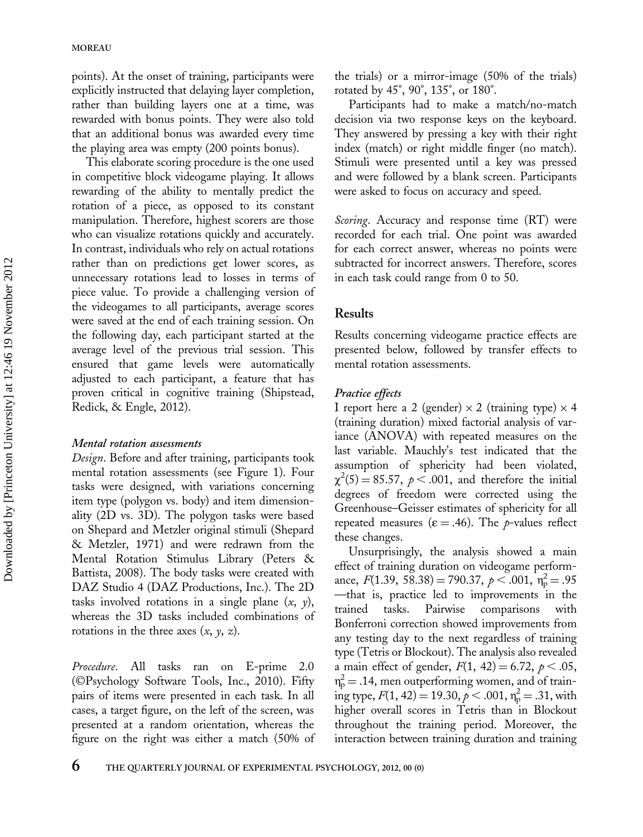points). At the onset of training, participants were explicitly instructed that delaying layer completion, rather than building layers one at a time, was rewarded with bonus points. They were also told that an additional bonus was awarded every time the playing area was empty (200 points bonus).

This elaborate scoring procedure is the one used in competitive block videogame playing. It allows rewarding of the ability to mentally predict the rotation of a piece, as opposed to its constant manipulation. Therefore, highest scorers are those who can visualize rotations quickly and accurately. In contrast, individuals who rely on actual rotations rather than on predictions get lower scores, as unnecessary rotations lead to losses in terms of piece value. To provide a challenging version of the videogames to all participants, average scores were saved at the end of each training session. On the following day, each participant started at the average level of the previous trial session. This ensured that game levels were automatically adjusted to each participant, a feature that has proven critical in cognitive training (Shipstead, Redick, & Engle, 2012).

#### Mental rotation assessments

Design. Before and after training, participants took mental rotation assessments (see Figure 1). Four tasks were designed, with variations concerning item type (polygon vs. body) and item dimensionality (2D vs. 3D). The polygon tasks were based on Shepard and Metzler original stimuli (Shepard & Metzler, 1971) and were redrawn from the Mental Rotation Stimulus Library (Peters & Battista, 2008). The body tasks were created with DAZ Studio 4 (DAZ Productions, Inc.). The 2D tasks involved rotations in a single plane  $(x, y)$ , whereas the 3D tasks included combinations of rotations in the three axes  $(x, y, z)$ .

Procedure. All tasks ran on E-prime 2.0 (©Psychology Software Tools, Inc., 2010). Fifty pairs of items were presented in each task. In all cases, a target figure, on the left of the screen, was presented at a random orientation, whereas the figure on the right was either a match (50% of the trials) or a mirror-image (50% of the trials) rotated by 45°, 90°, 135°, or 180°.

Participants had to make a match/no-match decision via two response keys on the keyboard. They answered by pressing a key with their right index (match) or right middle finger (no match). Stimuli were presented until a key was pressed and were followed by a blank screen. Participants were asked to focus on accuracy and speed.

*Scoring.* Accuracy and response time (RT) were recorded for each trial. One point was awarded for each correct answer, whereas no points were subtracted for incorrect answers. Therefore, scores in each task could range from 0 to 50.

#### Results

Results concerning videogame practice effects are presented below, followed by transfer effects to mental rotation assessments.

#### Practice effects

I report here a 2 (gender)  $\times$  2 (training type)  $\times$  4 (training duration) mixed factorial analysis of variance (ANOVA) with repeated measures on the last variable. Mauchly's test indicated that the assumption of sphericity had been violated,  $\chi^2(5) = 85.57, \ \rho < .001$ , and therefore the initial degrees of freedom were corrected using the Greenhouse–Geisser estimates of sphericity for all repeated measures ( $\varepsilon$  = .46). The *p*-values reflect these changes.

Unsurprisingly, the analysis showed a main effect of training duration on videogame performance,  $F(1.39, 58.38) = 790.37, p < .001, \eta_p^2 = .95$ —that is, practice led to improvements in the trained tasks. Pairwise comparisons with Bonferroni correction showed improvements from any testing day to the next regardless of training type (Tetris or Blockout). The analysis also revealed a main effect of gender,  $F(1, 42) = 6.72, \, p < .05,$  $\eta_{\rm p}^2$  = .14, men outperforming women, and of training type,  $F(1, 42) = 19.30, p < .001, \eta_p^2 = .31$ , with higher overall scores in Tetris than in Blockout throughout the training period. Moreover, the interaction between training duration and training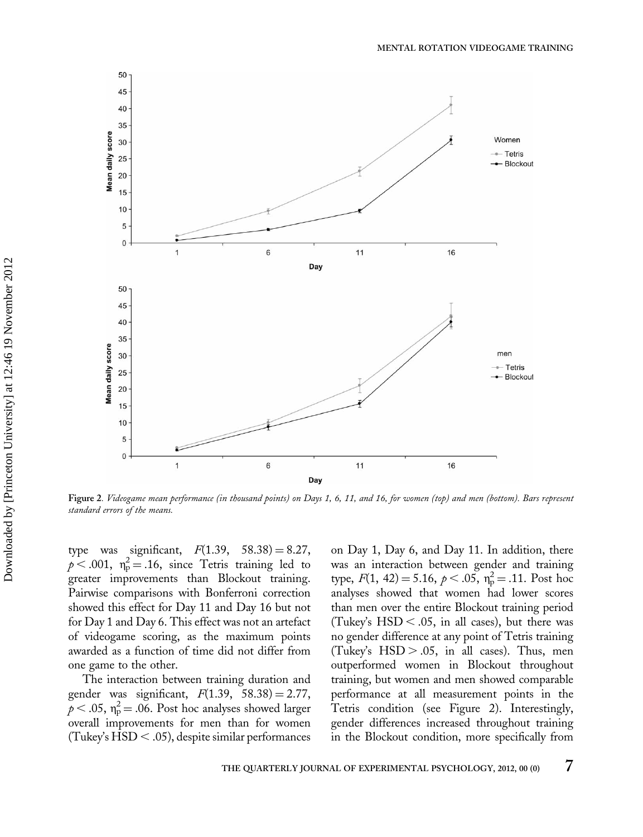

Figure 2. Videogame mean performance (in thousand points) on Days 1, 6, 11, and 16, for women (top) and men (bottom). Bars represent standard errors of the means.

type was significant,  $F(1.39, 58.38) = 8.27$ ,  $p < .001$ ,  $\eta_p^2 = .16$ , since Tetris training led to greater improvements than Blockout training. Pairwise comparisons with Bonferroni correction showed this effect for Day 11 and Day 16 but not for Day 1 and Day 6. This effect was not an artefact of videogame scoring, as the maximum points awarded as a function of time did not differ from one game to the other.

The interaction between training duration and gender was significant,  $F(1.39, 58.38) = 2.77$ ,  $\tilde{p}$  < .05,  $\eta_{\rm p}^2$  = .06. Post hoc analyses showed larger overall improvements for men than for women (Tukey's  $HSD < .05$ ), despite similar performances on Day 1, Day 6, and Day 11. In addition, there was an interaction between gender and training type,  $F(1, 42) = 5.16, p < .05, \eta_p^2 = .11$ . Post hoc analyses showed that women had lower scores than men over the entire Blockout training period (Tukey's  $\text{HSD} < .05$ , in all cases), but there was no gender difference at any point of Tetris training (Tukey's  $HSD > .05$ , in all cases). Thus, men outperformed women in Blockout throughout training, but women and men showed comparable performance at all measurement points in the Tetris condition (see Figure 2). Interestingly, gender differences increased throughout training in the Blockout condition, more specifically from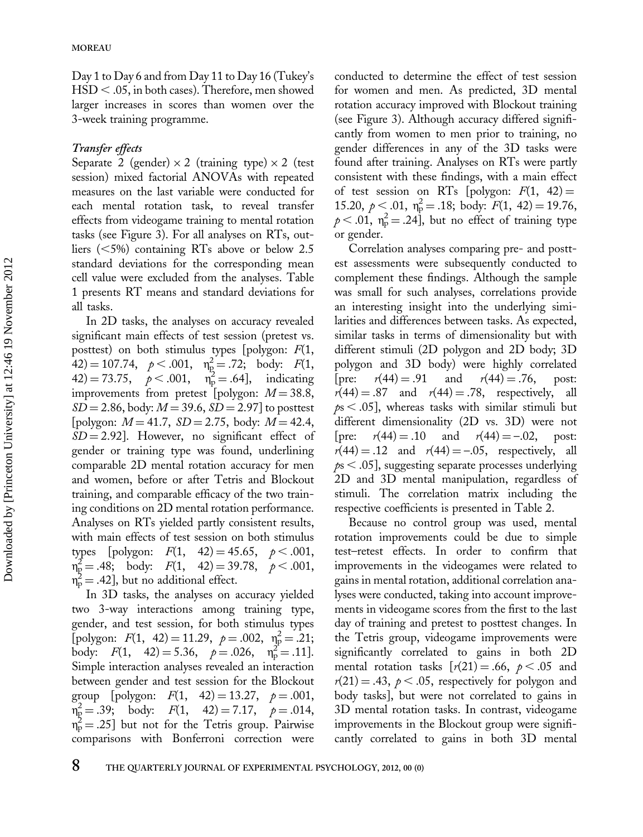Day 1 to Day 6 and from Day 11 to Day 16 (Tukey's  $\text{HSD} < .05$ , in both cases). Therefore, men showed larger increases in scores than women over the 3-week training programme.

#### Transfer effects

Separate 2 (gender)  $\times$  2 (training type)  $\times$  2 (test session) mixed factorial ANOVAs with repeated measures on the last variable were conducted for each mental rotation task, to reveal transfer effects from videogame training to mental rotation tasks (see Figure 3). For all analyses on RTs, outliers  $(<5\%)$  containing RTs above or below 2.5 standard deviations for the corresponding mean cell value were excluded from the analyses. Table 1 presents RT means and standard deviations for all tasks.

In 2D tasks, the analyses on accuracy revealed significant main effects of test session (pretest vs. posttest) on both stimulus types [polygon:  $F(1,$  $(42) = 107.74, \quad p < .001, \quad \eta_p^2 = .72; \quad \text{body:} \quad F(1,$  $(42) = 73.75$ ,  $p < .001$ ,  $n_p^2 = .64$ , indicating improvements from pretest [polygon:  $M = 38.8$ ,  $SD = 2.86$ , body:  $M = 39.6$ ,  $SD = 2.97$ ] to posttest [polygon:  $M = 41.7$ ,  $SD = 2.75$ , body:  $M = 42.4$ ,  $SD = 2.92$ ]. However, no significant effect of gender or training type was found, underlining comparable 2D mental rotation accuracy for men and women, before or after Tetris and Blockout training, and comparable efficacy of the two training conditions on 2D mental rotation performance. Analyses on RTs yielded partly consistent results, with main effects of test session on both stimulus types [polygon:  $F(1, 42) = 45.65, p < .001,$  $n_{\rm p}^2 = .48;$  body:  $F(1, 42) = 39.78, p < .001,$  $n_p^2$  = .42], but no additional effect.

In 3D tasks, the analyses on accuracy yielded two 3-way interactions among training type, gender, and test session, for both stimulus types [polygon:  $F(1, 42) = 11.29$ ,  $p = .002$ ,  $\eta_p^2 = .21$ ; body:  $F(1, 42) = 5.36, p = .026, \eta_p^2 = .11$ . Simple interaction analyses revealed an interaction between gender and test session for the Blockout group [polygon:  $F(1, 42) = 13.27, p = .001$ ,  $n_{\rm p}^2 = .39$ ; body:  $F(1, 42) = 7.17$ ,  $p = .014$ ,  $\eta_{\rm p}^2 = .25$ ] but not for the Tetris group. Pairwise comparisons with Bonferroni correction were

conducted to determine the effect of test session for women and men. As predicted, 3D mental rotation accuracy improved with Blockout training (see Figure 3). Although accuracy differed significantly from women to men prior to training, no gender differences in any of the 3D tasks were found after training. Analyses on RTs were partly consistent with these findings, with a main effect of test session on RTs [polygon:  $F(1, 42) =$ 15.20,  $p < .01$ ,  $\eta_{\rm p}^2 = .18$ ; body:  $F(1, 42) = 19.76$ ,  $p < .01$ ,  $\eta_p^2 = .24$ ], but no effect of training type or gender.

Correlation analyses comparing pre- and posttest assessments were subsequently conducted to complement these findings. Although the sample was small for such analyses, correlations provide an interesting insight into the underlying similarities and differences between tasks. As expected, similar tasks in terms of dimensionality but with different stimuli (2D polygon and 2D body; 3D polygon and 3D body) were highly correlated [pre:  $r(44) = .91$  and  $r(44) = .76$ , post:  $r(44) = .87$  and  $r(44) = .78$ , respectively, all  $ps < .05$ ], whereas tasks with similar stimuli but different dimensionality (2D vs. 3D) were not [pre:  $r(44) = .10$  and  $r(44) = -.02$ , post:  $r(44) = .12$  and  $r(44) = -.05$ , respectively, all  $p_s$  < .05], suggesting separate processes underlying 2D and 3D mental manipulation, regardless of stimuli. The correlation matrix including the respective coefficients is presented in Table 2.

Because no control group was used, mental rotation improvements could be due to simple test–retest effects. In order to confirm that improvements in the videogames were related to gains in mental rotation, additional correlation analyses were conducted, taking into account improvements in videogame scores from the first to the last day of training and pretest to posttest changes. In the Tetris group, videogame improvements were significantly correlated to gains in both 2D mental rotation tasks  $[r(21) = .66, p < .05$  and  $r(21) = .43$ ,  $p < .05$ , respectively for polygon and body tasks], but were not correlated to gains in 3D mental rotation tasks. In contrast, videogame improvements in the Blockout group were significantly correlated to gains in both 3D mental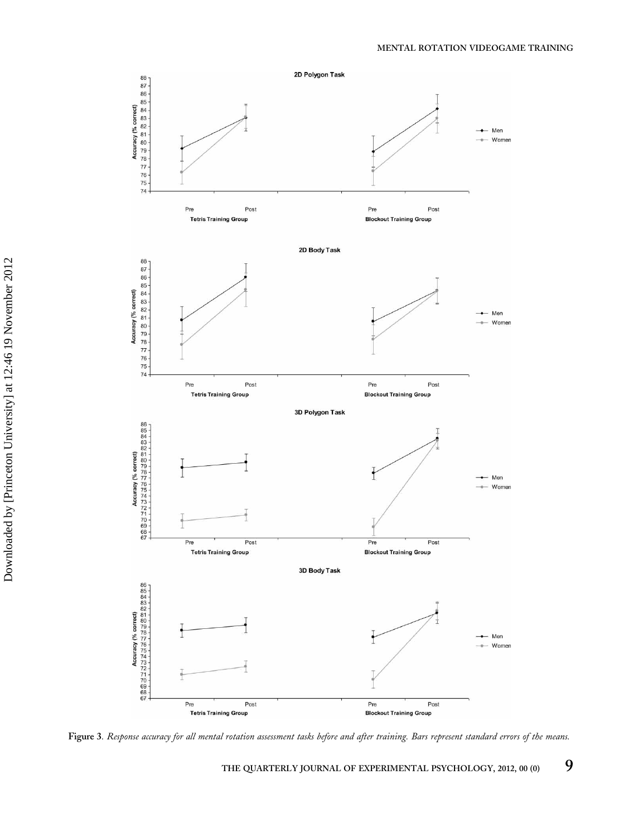

Figure 3. Response accuracy for all mental rotation assessment tasks before and after training. Bars represent standard errors of the means.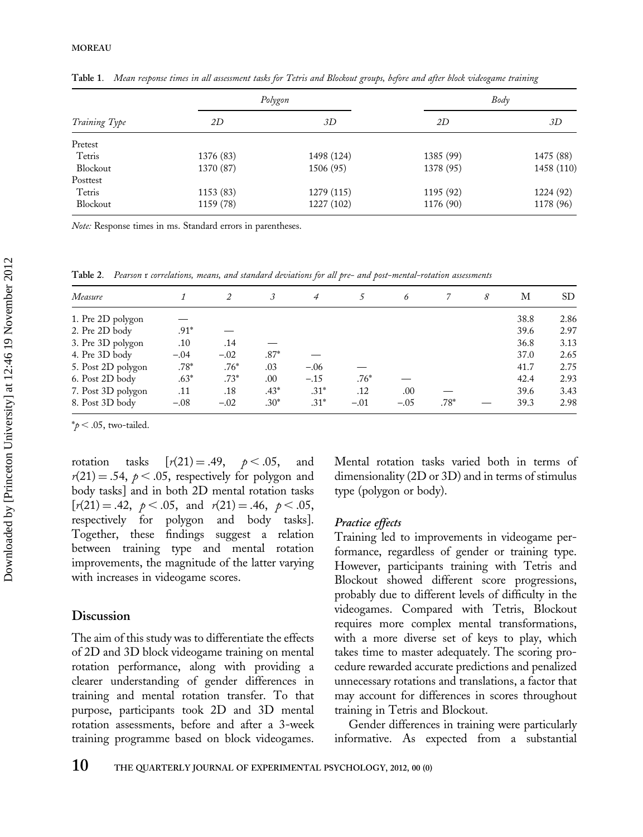|               |           | Polygon    | Body      |            |  |
|---------------|-----------|------------|-----------|------------|--|
| Training Type | 2D        | 3D         | 2D        | 3D         |  |
| Pretest       |           |            |           |            |  |
| Tetris        | 1376 (83) | 1498 (124) | 1385 (99) | 1475 (88)  |  |
| Blockout      | 1370 (87) | 1506 (95)  | 1378 (95) | 1458 (110) |  |
| Posttest      |           |            |           |            |  |
| Tetris        | 1153 (83) | 1279 (115) | 1195 (92) | 1224 (92)  |  |
| Blockout      | 1159 (78) | 1227 (102) | 1176 (90) | 1178 (96)  |  |

Table 1. Mean response times in all assessment tasks for Tetris and Blockout groups, before and after block videogame training

Note: Response times in ms. Standard errors in parentheses.

Table 2. Pearson r correlations, means, and standard deviations for all pre- and post-mental-rotation assessments

|                    |        |        |        | 4      |        | 6      |        | 8 | М    | SD   |
|--------------------|--------|--------|--------|--------|--------|--------|--------|---|------|------|
| Measure            |        |        |        |        |        |        |        |   |      |      |
| 1. Pre 2D polygon  |        |        |        |        |        |        |        |   | 38.8 | 2.86 |
| 2. Pre 2D body     | $.91*$ |        |        |        |        |        |        |   | 39.6 | 2.97 |
| 3. Pre 3D polygon  | .10    | .14    |        |        |        |        |        |   | 36.8 | 3.13 |
| 4. Pre 3D body     | $-.04$ | $-.02$ | $.87*$ |        |        |        |        |   | 37.0 | 2.65 |
| 5. Post 2D polygon | $.78*$ | $.76*$ | .03    | $-.06$ |        |        |        |   | 41.7 | 2.75 |
| 6. Post 2D body    | $.63*$ | $.73*$ | .00    | $-.15$ | $.76*$ |        |        |   | 42.4 | 2.93 |
| 7. Post 3D polygon | .11    | .18    | $.43*$ | $.31*$ | .12    | .00    |        |   | 39.6 | 3.43 |
| 8. Post 3D body    | $-.08$ | $-.02$ | $.30*$ | $.31*$ | $-.01$ | $-.05$ | $.78*$ |   | 39.3 | 2.98 |

 $*_{p}$  < .05, two-tailed.

rotation tasks  $[r(21) = .49, p < .05,$  and  $r(21) = .54$ ,  $p < .05$ , respectively for polygon and body tasks] and in both 2D mental rotation tasks  $[r(21) = .42, p < .05,$  and  $r(21) = .46, p < .05,$ <br>respectively for polygon and body tasks]. and body tasks]. Together, these findings suggest a relation between training type and mental rotation improvements, the magnitude of the latter varying with increases in videogame scores.

## Discussion

The aim of this study was to differentiate the effects of 2D and 3D block videogame training on mental rotation performance, along with providing a clearer understanding of gender differences in training and mental rotation transfer. To that purpose, participants took 2D and 3D mental rotation assessments, before and after a 3-week training programme based on block videogames. Mental rotation tasks varied both in terms of dimensionality (2D or 3D) and in terms of stimulus type (polygon or body).

#### Practice effects

Training led to improvements in videogame performance, regardless of gender or training type. However, participants training with Tetris and Blockout showed different score progressions, probably due to different levels of difficulty in the videogames. Compared with Tetris, Blockout requires more complex mental transformations, with a more diverse set of keys to play, which takes time to master adequately. The scoring procedure rewarded accurate predictions and penalized unnecessary rotations and translations, a factor that may account for differences in scores throughout training in Tetris and Blockout.

Gender differences in training were particularly informative. As expected from a substantial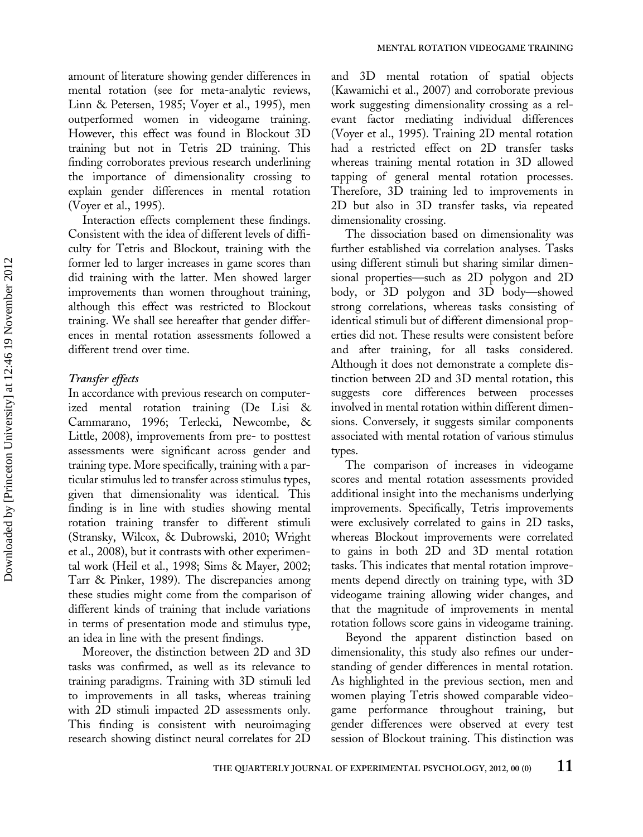amount of literature showing gender differences in mental rotation (see for meta-analytic reviews, Linn & Petersen, 1985; Voyer et al., 1995), men outperformed women in videogame training. However, this effect was found in Blockout 3D training but not in Tetris 2D training. This finding corroborates previous research underlining the importance of dimensionality crossing to explain gender differences in mental rotation (Voyer et al., 1995).

Interaction effects complement these findings. Consistent with the idea of different levels of difficulty for Tetris and Blockout, training with the former led to larger increases in game scores than did training with the latter. Men showed larger improvements than women throughout training, although this effect was restricted to Blockout training. We shall see hereafter that gender differences in mental rotation assessments followed a different trend over time.

#### Transfer effects

In accordance with previous research on computerized mental rotation training (De Lisi & Cammarano, 1996; Terlecki, Newcombe, & Little, 2008), improvements from pre- to posttest assessments were significant across gender and training type. More specifically, training with a particular stimulus led to transfer across stimulus types, given that dimensionality was identical. This finding is in line with studies showing mental rotation training transfer to different stimuli (Stransky, Wilcox, & Dubrowski, 2010; Wright et al., 2008), but it contrasts with other experimental work (Heil et al., 1998; Sims & Mayer, 2002; Tarr & Pinker, 1989). The discrepancies among these studies might come from the comparison of different kinds of training that include variations in terms of presentation mode and stimulus type, an idea in line with the present findings.

Moreover, the distinction between 2D and 3D tasks was confirmed, as well as its relevance to training paradigms. Training with 3D stimuli led to improvements in all tasks, whereas training with 2D stimuli impacted 2D assessments only. This finding is consistent with neuroimaging research showing distinct neural correlates for 2D

and 3D mental rotation of spatial objects (Kawamichi et al., 2007) and corroborate previous work suggesting dimensionality crossing as a relevant factor mediating individual differences (Voyer et al., 1995). Training 2D mental rotation had a restricted effect on 2D transfer tasks whereas training mental rotation in 3D allowed tapping of general mental rotation processes. Therefore, 3D training led to improvements in 2D but also in 3D transfer tasks, via repeated dimensionality crossing.

The dissociation based on dimensionality was further established via correlation analyses. Tasks using different stimuli but sharing similar dimensional properties—such as 2D polygon and 2D body, or 3D polygon and 3D body—showed strong correlations, whereas tasks consisting of identical stimuli but of different dimensional properties did not. These results were consistent before and after training, for all tasks considered. Although it does not demonstrate a complete distinction between 2D and 3D mental rotation, this suggests core differences between processes involved in mental rotation within different dimensions. Conversely, it suggests similar components associated with mental rotation of various stimulus types.

The comparison of increases in videogame scores and mental rotation assessments provided additional insight into the mechanisms underlying improvements. Specifically, Tetris improvements were exclusively correlated to gains in 2D tasks, whereas Blockout improvements were correlated to gains in both 2D and 3D mental rotation tasks. This indicates that mental rotation improvements depend directly on training type, with 3D videogame training allowing wider changes, and that the magnitude of improvements in mental rotation follows score gains in videogame training.

Beyond the apparent distinction based on dimensionality, this study also refines our understanding of gender differences in mental rotation. As highlighted in the previous section, men and women playing Tetris showed comparable videogame performance throughout training, but gender differences were observed at every test session of Blockout training. This distinction was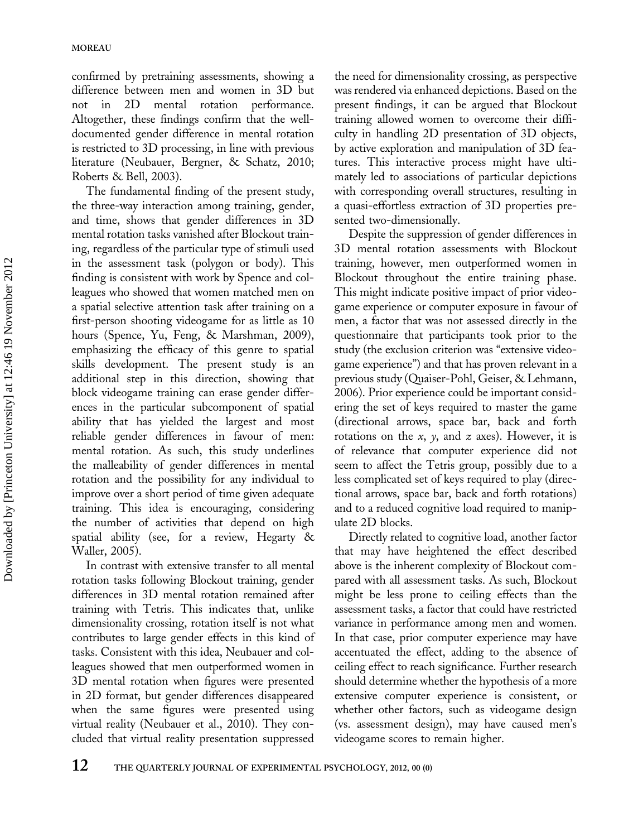confirmed by pretraining assessments, showing a difference between men and women in 3D but not in 2D mental rotation performance. Altogether, these findings confirm that the welldocumented gender difference in mental rotation is restricted to 3D processing, in line with previous literature (Neubauer, Bergner, & Schatz, 2010; Roberts & Bell, 2003).

The fundamental finding of the present study, the three-way interaction among training, gender, and time, shows that gender differences in 3D mental rotation tasks vanished after Blockout training, regardless of the particular type of stimuli used in the assessment task (polygon or body). This finding is consistent with work by Spence and colleagues who showed that women matched men on a spatial selective attention task after training on a first-person shooting videogame for as little as 10 hours (Spence, Yu, Feng, & Marshman, 2009), emphasizing the efficacy of this genre to spatial skills development. The present study is an additional step in this direction, showing that block videogame training can erase gender differences in the particular subcomponent of spatial ability that has yielded the largest and most reliable gender differences in favour of men: mental rotation. As such, this study underlines the malleability of gender differences in mental rotation and the possibility for any individual to improve over a short period of time given adequate training. This idea is encouraging, considering the number of activities that depend on high spatial ability (see, for a review, Hegarty & Waller, 2005).

In contrast with extensive transfer to all mental rotation tasks following Blockout training, gender differences in 3D mental rotation remained after training with Tetris. This indicates that, unlike dimensionality crossing, rotation itself is not what contributes to large gender effects in this kind of tasks. Consistent with this idea, Neubauer and colleagues showed that men outperformed women in 3D mental rotation when figures were presented in 2D format, but gender differences disappeared when the same figures were presented using virtual reality (Neubauer et al., 2010). They concluded that virtual reality presentation suppressed the need for dimensionality crossing, as perspective was rendered via enhanced depictions. Based on the present findings, it can be argued that Blockout training allowed women to overcome their difficulty in handling 2D presentation of 3D objects, by active exploration and manipulation of 3D features. This interactive process might have ultimately led to associations of particular depictions with corresponding overall structures, resulting in a quasi-effortless extraction of 3D properties presented two-dimensionally.

Despite the suppression of gender differences in 3D mental rotation assessments with Blockout training, however, men outperformed women in Blockout throughout the entire training phase. This might indicate positive impact of prior videogame experience or computer exposure in favour of men, a factor that was not assessed directly in the questionnaire that participants took prior to the study (the exclusion criterion was "extensive videogame experience") and that has proven relevant in a previous study (Quaiser-Pohl, Geiser, & Lehmann, 2006). Prior experience could be important considering the set of keys required to master the game (directional arrows, space bar, back and forth rotations on the  $x$ ,  $y$ , and  $z$  axes). However, it is of relevance that computer experience did not seem to affect the Tetris group, possibly due to a less complicated set of keys required to play (directional arrows, space bar, back and forth rotations) and to a reduced cognitive load required to manipulate 2D blocks.

Directly related to cognitive load, another factor that may have heightened the effect described above is the inherent complexity of Blockout compared with all assessment tasks. As such, Blockout might be less prone to ceiling effects than the assessment tasks, a factor that could have restricted variance in performance among men and women. In that case, prior computer experience may have accentuated the effect, adding to the absence of ceiling effect to reach significance. Further research should determine whether the hypothesis of a more extensive computer experience is consistent, or whether other factors, such as videogame design (vs. assessment design), may have caused men's videogame scores to remain higher.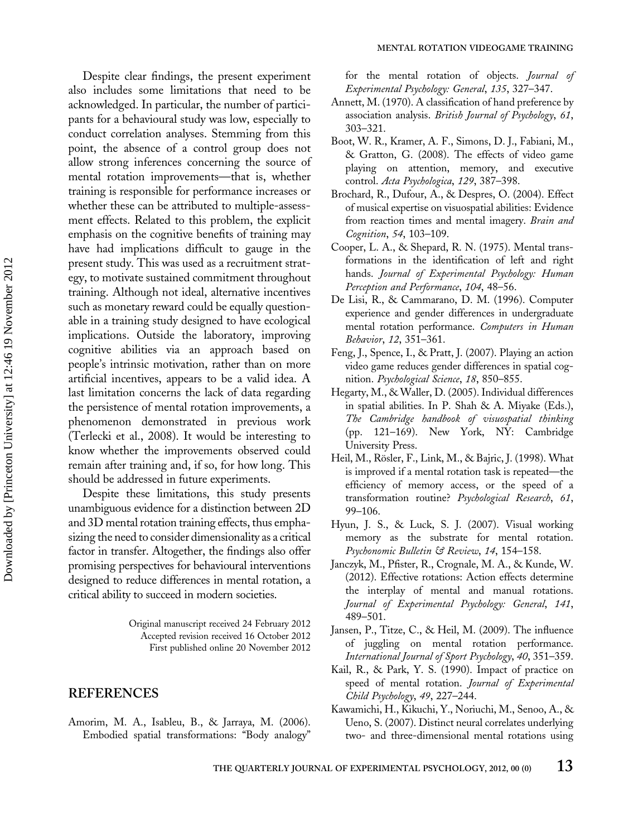Despite clear findings, the present experiment also includes some limitations that need to be acknowledged. In particular, the number of participants for a behavioural study was low, especially to conduct correlation analyses. Stemming from this point, the absence of a control group does not allow strong inferences concerning the source of mental rotation improvements—that is, whether training is responsible for performance increases or whether these can be attributed to multiple-assessment effects. Related to this problem, the explicit emphasis on the cognitive benefits of training may have had implications difficult to gauge in the present study. This was used as a recruitment strategy, to motivate sustained commitment throughout training. Although not ideal, alternative incentives such as monetary reward could be equally questionable in a training study designed to have ecological implications. Outside the laboratory, improving cognitive abilities via an approach based on people's intrinsic motivation, rather than on more artificial incentives, appears to be a valid idea. A last limitation concerns the lack of data regarding the persistence of mental rotation improvements, a phenomenon demonstrated in previous work (Terlecki et al., 2008). It would be interesting to know whether the improvements observed could remain after training and, if so, for how long. This should be addressed in future experiments.

Despite these limitations, this study presents unambiguous evidence for a distinction between 2D and 3D mental rotation training effects, thus emphasizing the need to consider dimensionality as a critical factor in transfer. Altogether, the findings also offer promising perspectives for behavioural interventions designed to reduce differences in mental rotation, a critical ability to succeed in modern societies.

> Original manuscript received 24 February 2012 Accepted revision received 16 October 2012 First published online 20 November 2012

### REFERENCES

Amorim, M. A., Isableu, B., & Jarraya, M. (2006). Embodied spatial transformations: "Body analogy" for the mental rotation of objects. Journal of Experimental Psychology: General, 135, 327–347.

- Annett, M. (1970). A classification of hand preference by association analysis. British Journal of Psychology, 61, 303–321.
- Boot, W. R., Kramer, A. F., Simons, D. J., Fabiani, M., & Gratton, G. (2008). The effects of video game playing on attention, memory, and executive control. Acta Psychologica, 129, 387-398.
- Brochard, R., Dufour, A., & Despres, O. (2004). Effect of musical expertise on visuospatial abilities: Evidence from reaction times and mental imagery. Brain and Cognition, 54, 103–109.
- Cooper, L. A., & Shepard, R. N. (1975). Mental transformations in the identification of left and right hands. Journal of Experimental Psychology: Human Perception and Performance, 104, 48–56.
- De Lisi, R., & Cammarano, D. M. (1996). Computer experience and gender differences in undergraduate mental rotation performance. Computers in Human Behavior, 12, 351–361.
- Feng, J., Spence, I., & Pratt, J. (2007). Playing an action video game reduces gender differences in spatial cognition. Psychological Science, 18, 850–855.
- Hegarty, M., & Waller, D. (2005). Individual differences in spatial abilities. In P. Shah & A. Miyake (Eds.), The Cambridge handbook of visuospatial thinking (pp. 121–169). New York, NY: Cambridge University Press.
- Heil, M., Rösler, F., Link, M., & Bajric, J. (1998). What is improved if a mental rotation task is repeated—the efficiency of memory access, or the speed of a transformation routine? Psychological Research, 61, 99–106.
- Hyun, J. S., & Luck, S. J. (2007). Visual working memory as the substrate for mental rotation. Psychonomic Bulletin & Review, 14, 154–158.
- Janczyk, M., Pfister, R., Crognale, M. A., & Kunde, W. (2012). Effective rotations: Action effects determine the interplay of mental and manual rotations. Journal of Experimental Psychology: General, 141, 489–501.
- Jansen, P., Titze, C., & Heil, M. (2009). The influence of juggling on mental rotation performance. International Journal of Sport Psychology, 40, 351–359.
- Kail, R., & Park, Y. S. (1990). Impact of practice on speed of mental rotation. Journal of Experimental Child Psychology, 49, 227–244.
- Kawamichi, H., Kikuchi, Y., Noriuchi, M., Senoo, A., & Ueno, S. (2007). Distinct neural correlates underlying two- and three-dimensional mental rotations using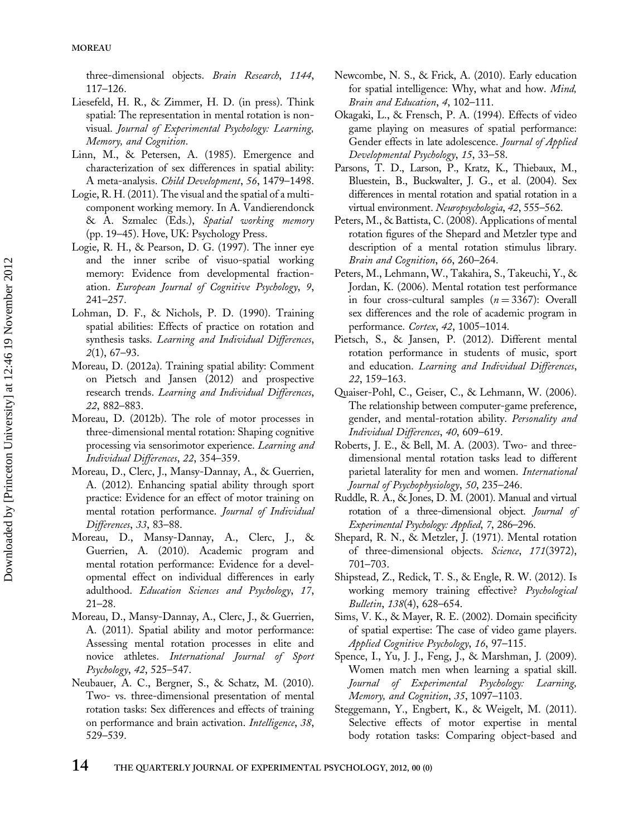three-dimensional objects. Brain Research, 1144, 117–126.

- Liesefeld, H. R., & Zimmer, H. D. (in press). Think spatial: The representation in mental rotation is nonvisual. Journal of Experimental Psychology: Learning, Memory, and Cognition.
- Linn, M., & Petersen, A. (1985). Emergence and characterization of sex differences in spatial ability: A meta-analysis. Child Development, 56, 1479–1498.
- Logie, R. H. (2011). The visual and the spatial of a multicomponent working memory. In A. Vandierendonck & A. Szmalec (Eds.), Spatial working memory (pp. 19–45). Hove, UK: Psychology Press.
- Logie, R. H., & Pearson, D. G. (1997). The inner eye and the inner scribe of visuo-spatial working memory: Evidence from developmental fractionation. European Journal of Cognitive Psychology, 9, 241–257.
- Lohman, D. F., & Nichols, P. D. (1990). Training spatial abilities: Effects of practice on rotation and synthesis tasks. Learning and Individual Differences, 2(1), 67–93.
- Moreau, D. (2012a). Training spatial ability: Comment on Pietsch and Jansen (2012) and prospective research trends. Learning and Individual Differences, 22, 882–883.
- Moreau, D. (2012b). The role of motor processes in three-dimensional mental rotation: Shaping cognitive processing via sensorimotor experience. Learning and Individual Differences, 22, 354–359.
- Moreau, D., Clerc, J., Mansy-Dannay, A., & Guerrien, A. (2012). Enhancing spatial ability through sport practice: Evidence for an effect of motor training on mental rotation performance. Journal of Individual Differences, 33, 83–88.
- Moreau, D., Mansy-Dannay, A., Clerc, J., & Guerrien, A. (2010). Academic program and mental rotation performance: Evidence for a developmental effect on individual differences in early adulthood. Education Sciences and Psychology, 17, 21–28.
- Moreau, D., Mansy-Dannay, A., Clerc, J., & Guerrien, A. (2011). Spatial ability and motor performance: Assessing mental rotation processes in elite and novice athletes. International Journal of Sport Psychology, 42, 525–547.
- Neubauer, A. C., Bergner, S., & Schatz, M. (2010). Two- vs. three-dimensional presentation of mental rotation tasks: Sex differences and effects of training on performance and brain activation. *Intelligence*, 38, 529–539.
- Newcombe, N. S., & Frick, A. (2010). Early education for spatial intelligence: Why, what and how. Mind, Brain and Education, 4, 102–111.
- Okagaki, L., & Frensch, P. A. (1994). Effects of video game playing on measures of spatial performance: Gender effects in late adolescence. Journal of Applied Developmental Psychology, 15, 33–58.
- Parsons, T. D., Larson, P., Kratz, K., Thiebaux, M., Bluestein, B., Buckwalter, J. G., et al. (2004). Sex differences in mental rotation and spatial rotation in a virtual environment. Neuropsychologia, 42, 555–562.
- Peters, M., & Battista, C. (2008). Applications of mental rotation figures of the Shepard and Metzler type and description of a mental rotation stimulus library. Brain and Cognition, 66, 260–264.
- Peters, M., Lehmann, W., Takahira, S., Takeuchi, Y., & Jordan, K. (2006). Mental rotation test performance in four cross-cultural samples  $(n = 3367)$ : Overall sex differences and the role of academic program in performance. Cortex, 42, 1005–1014.
- Pietsch, S., & Jansen, P. (2012). Different mental rotation performance in students of music, sport and education. Learning and Individual Differences, 22, 159–163.
- Quaiser-Pohl, C., Geiser, C., & Lehmann, W. (2006). The relationship between computer-game preference, gender, and mental-rotation ability. Personality and Individual Differences, 40, 609–619.
- Roberts, J. E., & Bell, M. A. (2003). Two- and threedimensional mental rotation tasks lead to different parietal laterality for men and women. International Journal of Psychophysiology, 50, 235–246.
- Ruddle, R. A., & Jones, D. M. (2001). Manual and virtual rotation of a three-dimensional object. Journal of Experimental Psychology: Applied, 7, 286–296.
- Shepard, R. N., & Metzler, J. (1971). Mental rotation of three-dimensional objects. Science, 171(3972), 701–703.
- Shipstead, Z., Redick, T. S., & Engle, R. W. (2012). Is working memory training effective? Psychological Bulletin, 138(4), 628–654.
- Sims, V. K., & Mayer, R. E. (2002). Domain specificity of spatial expertise: The case of video game players. Applied Cognitive Psychology, 16, 97–115.
- Spence, I., Yu, J. J., Feng, J., & Marshman, J. (2009). Women match men when learning a spatial skill. Journal of Experimental Psychology: Learning, Memory, and Cognition, 35, 1097–1103.
- Steggemann, Y., Engbert, K., & Weigelt, M. (2011). Selective effects of motor expertise in mental body rotation tasks: Comparing object-based and